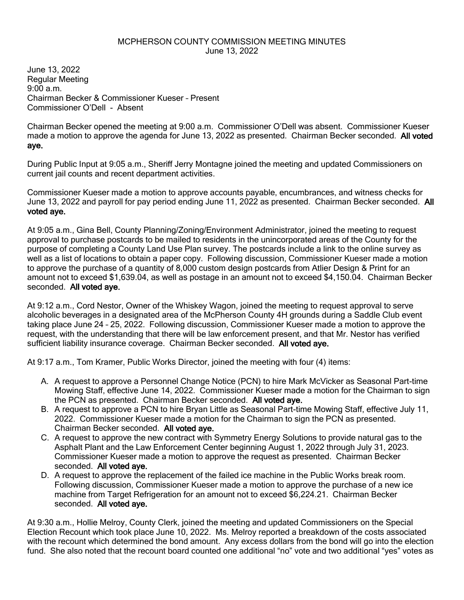## MCPHERSON COUNTY COMMISSION MEETING MINUTES June 13, 2022

June 13, 2022 Regular Meeting 9:00 a.m. Chairman Becker & Commissioner Kueser – Present Commissioner O'Dell - Absent

Chairman Becker opened the meeting at 9:00 a.m. Commissioner O'Dell was absent. Commissioner Kueser made a motion to approve the agenda for June 13, 2022 as presented. Chairman Becker seconded. All voted aye.

During Public Input at 9:05 a.m., Sheriff Jerry Montagne joined the meeting and updated Commissioners on current jail counts and recent department activities.

Commissioner Kueser made a motion to approve accounts payable, encumbrances, and witness checks for June 13, 2022 and payroll for pay period ending June 11, 2022 as presented. Chairman Becker seconded. All voted aye.

At 9:05 a.m., Gina Bell, County Planning/Zoning/Environment Administrator, joined the meeting to request approval to purchase postcards to be mailed to residents in the unincorporated areas of the County for the purpose of completing a County Land Use Plan survey. The postcards include a link to the online survey as well as a list of locations to obtain a paper copy. Following discussion, Commissioner Kueser made a motion to approve the purchase of a quantity of 8,000 custom design postcards from Atlier Design & Print for an amount not to exceed \$1,639.04, as well as postage in an amount not to exceed \$4,150.04. Chairman Becker seconded. All voted aye.

At 9:12 a.m., Cord Nestor, Owner of the Whiskey Wagon, joined the meeting to request approval to serve alcoholic beverages in a designated area of the McPherson County 4H grounds during a Saddle Club event taking place June 24 – 25, 2022. Following discussion, Commissioner Kueser made a motion to approve the request, with the understanding that there will be law enforcement present, and that Mr. Nestor has verified sufficient liability insurance coverage. Chairman Becker seconded. All voted aye.

At 9:17 a.m., Tom Kramer, Public Works Director, joined the meeting with four (4) items:

- A. A request to approve a Personnel Change Notice (PCN) to hire Mark McVicker as Seasonal Part-time Mowing Staff, effective June 14, 2022. Commissioner Kueser made a motion for the Chairman to sign the PCN as presented. Chairman Becker seconded. All voted aye.
- B. A request to approve a PCN to hire Bryan Little as Seasonal Part-time Mowing Staff, effective July 11, 2022. Commissioner Kueser made a motion for the Chairman to sign the PCN as presented. Chairman Becker seconded. All voted aye.
- C. A request to approve the new contract with Symmetry Energy Solutions to provide natural gas to the Asphalt Plant and the Law Enforcement Center beginning August 1, 2022 through July 31, 2023. Commissioner Kueser made a motion to approve the request as presented. Chairman Becker seconded. All voted aye.
- D. A request to approve the replacement of the failed ice machine in the Public Works break room. Following discussion, Commissioner Kueser made a motion to approve the purchase of a new ice machine from Target Refrigeration for an amount not to exceed \$6,224.21. Chairman Becker seconded. All voted aye.

At 9:30 a.m., Hollie Melroy, County Clerk, joined the meeting and updated Commissioners on the Special Election Recount which took place June 10, 2022. Ms. Melroy reported a breakdown of the costs associated with the recount which determined the bond amount. Any excess dollars from the bond will go into the election fund. She also noted that the recount board counted one additional "no" vote and two additional "yes" votes as